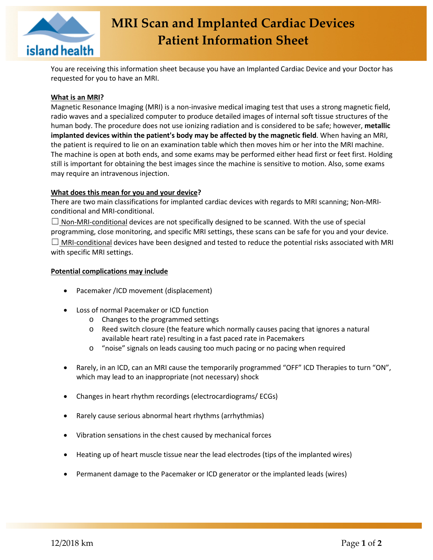

You are receiving this information sheet because you have an Implanted Cardiac Device and your Doctor has requested for you to have an MRI.

# **What is an MRI?**

Magnetic Resonance Imaging (MRI) is a non-invasive medical imaging test that uses a strong magnetic field, radio waves and a specialized computer to produce detailed images of internal soft tissue structures of the human body. The procedure does not use ionizing radiation and is considered to be safe; however, **metallic implanted devices within the patient's body may be affected by the magnetic field**. When having an MRI, the patient is required to lie on an examination table which then moves him or her into the MRI machine. The machine is open at both ends, and some exams may be performed either head first or feet first. Holding still is important for obtaining the best images since the machine is sensitive to motion. Also, some exams may require an intravenous injection.

### **What does this mean for you and your device?**

There are two main classifications for implanted cardiac devices with regards to MRI scanning; Non-MRIconditional and MRI-conditional.

 $\Box$  Non-MRI-conditional devices are not specifically designed to be scanned. With the use of special programming, close monitoring, and specific MRI settings, these scans can be safe for you and your device.  $\Box$  MRI-conditional devices have been designed and tested to reduce the potential risks associated with MRI with specific MRI settings.

### **Potential complications may include**

- Pacemaker /ICD movement (displacement)
- Loss of normal Pacemaker or ICD function
	- o Changes to the programmed settings
	- o Reed switch closure (the feature which normally causes pacing that ignores a natural available heart rate) resulting in a fast paced rate in Pacemakers
	- o "noise" signals on leads causing too much pacing or no pacing when required
- Rarely, in an ICD, can an MRI cause the temporarily programmed "OFF" ICD Therapies to turn "ON", which may lead to an inappropriate (not necessary) shock
- Changes in heart rhythm recordings (electrocardiograms/ ECGs)
- Rarely cause serious abnormal heart rhythms (arrhythmias)
- Vibration sensations in the chest caused by mechanical forces
- Heating up of heart muscle tissue near the lead electrodes (tips of the implanted wires)
- Permanent damage to the Pacemaker or ICD generator or the implanted leads (wires)